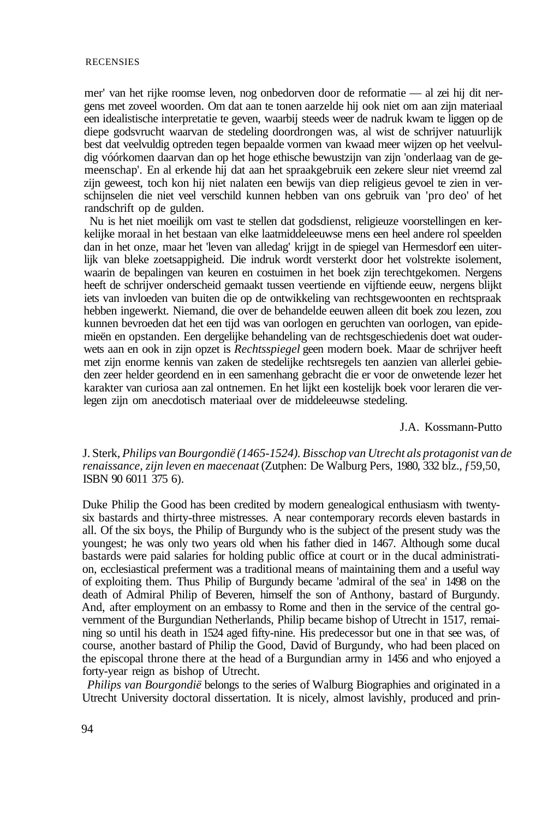mer' van het rijke roomse leven, nog onbedorven door de reformatie — al zei hij dit nergens met zoveel woorden. Om dat aan te tonen aarzelde hij ook niet om aan zijn materiaal een idealistische interpretatie te geven, waarbij steeds weer de nadruk kwam te liggen op de diepe godsvrucht waarvan de stedeling doordrongen was, al wist de schrijver natuurlijk best dat veelvuldig optreden tegen bepaalde vormen van kwaad meer wijzen op het veelvuldig vóórkomen daarvan dan op het hoge ethische bewustzijn van zijn 'onderlaag van de gemeenschap'. En al erkende hij dat aan het spraakgebruik een zekere sleur niet vreemd zal zijn geweest, toch kon hij niet nalaten een bewijs van diep religieus gevoel te zien in verschijnselen die niet veel verschild kunnen hebben van ons gebruik van 'pro deo' of het randschrift op de gulden.

Nu is het niet moeilijk om vast te stellen dat godsdienst, religieuze voorstellingen en kerkelijke moraal in het bestaan van elke laatmiddeleeuwse mens een heel andere rol speelden dan in het onze, maar het 'leven van alledag' krijgt in de spiegel van Hermesdorf een uiterlijk van bleke zoetsappigheid. Die indruk wordt versterkt door het volstrekte isolement, waarin de bepalingen van keuren en costuimen in het boek zijn terechtgekomen. Nergens heeft de schrijver onderscheid gemaakt tussen veertiende en vijftiende eeuw, nergens blijkt iets van invloeden van buiten die op de ontwikkeling van rechtsgewoonten en rechtspraak hebben ingewerkt. Niemand, die over de behandelde eeuwen alleen dit boek zou lezen, zou kunnen bevroeden dat het een tijd was van oorlogen en geruchten van oorlogen, van epidemieën en opstanden. Een dergelijke behandeling van de rechtsgeschiedenis doet wat ouderwets aan en ook in zijn opzet is *Rechtsspiegel* geen modern boek. Maar de schrijver heeft met zijn enorme kennis van zaken de stedelijke rechtsregels ten aanzien van allerlei gebieden zeer helder geordend en in een samenhang gebracht die er voor de onwetende lezer het karakter van curiosa aan zal ontnemen. En het lijkt een kostelijk boek voor leraren die verlegen zijn om anecdotisch materiaal over de middeleeuwse stedeling.

## J.A. Kossmann-Putto

## J. Sterk, *Philips van Bourgondië (1465-1524). Bisschop van Utrecht als protagonist van de renaissance, zijn leven en maecenaat* (Zutphen: De Walburg Pers, 1980, 332 blz., ƒ59,50, ISBN 90 6011 375 6).

Duke Philip the Good has been credited by modern genealogical enthusiasm with twentysix bastards and thirty-three mistresses. A near contemporary records eleven bastards in all. Of the six boys, the Philip of Burgundy who is the subject of the present study was the youngest; he was only two years old when his father died in 1467. Although some ducal bastards were paid salaries for holding public office at court or in the ducal administration, ecclesiastical preferment was a traditional means of maintaining them and a useful way of exploiting them. Thus Philip of Burgundy became 'admiral of the sea' in 1498 on the death of Admiral Philip of Beveren, himself the son of Anthony, bastard of Burgundy. And, after employment on an embassy to Rome and then in the service of the central government of the Burgundian Netherlands, Philip became bishop of Utrecht in 1517, remaining so until his death in 1524 aged fifty-nine. His predecessor but one in that see was, of course, another bastard of Philip the Good, David of Burgundy, who had been placed on the episcopal throne there at the head of a Burgundian army in 1456 and who enjoyed a forty-year reign as bishop of Utrecht.

*Philips van Bourgondië* belongs to the series of Walburg Biographies and originated in a Utrecht University doctoral dissertation. It is nicely, almost lavishly, produced and prin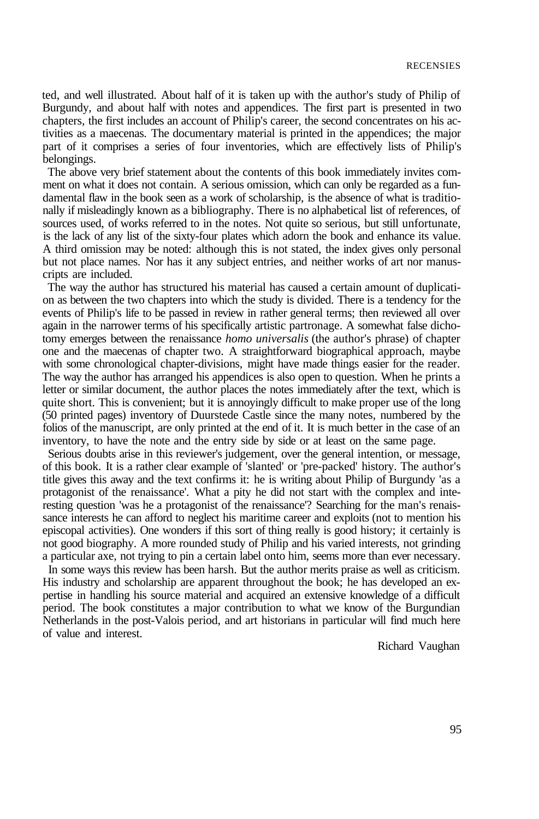ted, and well illustrated. About half of it is taken up with the author's study of Philip of Burgundy, and about half with notes and appendices. The first part is presented in two chapters, the first includes an account of Philip's career, the second concentrates on his activities as a maecenas. The documentary material is printed in the appendices; the major part of it comprises a series of four inventories, which are effectively lists of Philip's belongings.

The above very brief statement about the contents of this book immediately invites comment on what it does not contain. A serious omission, which can only be regarded as a fundamental flaw in the book seen as a work of scholarship, is the absence of what is traditionally if misleadingly known as a bibliography. There is no alphabetical list of references, of sources used, of works referred to in the notes. Not quite so serious, but still unfortunate, is the lack of any list of the sixty-four plates which adorn the book and enhance its value. A third omission may be noted: although this is not stated, the index gives only personal but not place names. Nor has it any subject entries, and neither works of art nor manuscripts are included.

The way the author has structured his material has caused a certain amount of duplication as between the two chapters into which the study is divided. There is a tendency for the events of Philip's life to be passed in review in rather general terms; then reviewed all over again in the narrower terms of his specifically artistic partronage. A somewhat false dichotomy emerges between the renaissance *homo universalis* (the author's phrase) of chapter one and the maecenas of chapter two. A straightforward biographical approach, maybe with some chronological chapter-divisions, might have made things easier for the reader. The way the author has arranged his appendices is also open to question. When he prints a letter or similar document, the author places the notes immediately after the text, which is quite short. This is convenient; but it is annoyingly difficult to make proper use of the long (50 printed pages) inventory of Duurstede Castle since the many notes, numbered by the folios of the manuscript, are only printed at the end of it. It is much better in the case of an inventory, to have the note and the entry side by side or at least on the same page.

Serious doubts arise in this reviewer's judgement, over the general intention, or message, of this book. It is a rather clear example of 'slanted' or 'pre-packed' history. The author's title gives this away and the text confirms it: he is writing about Philip of Burgundy 'as a protagonist of the renaissance'. What a pity he did not start with the complex and interesting question 'was he a protagonist of the renaissance'? Searching for the man's renaissance interests he can afford to neglect his maritime career and exploits (not to mention his episcopal activities). One wonders if this sort of thing really is good history; it certainly is not good biography. A more rounded study of Philip and his varied interests, not grinding a particular axe, not trying to pin a certain label onto him, seems more than ever necessary.

In some ways this review has been harsh. But the author merits praise as well as criticism. His industry and scholarship are apparent throughout the book; he has developed an expertise in handling his source material and acquired an extensive knowledge of a difficult period. The book constitutes a major contribution to what we know of the Burgundian Netherlands in the post-Valois period, and art historians in particular will find much here of value and interest.

Richard Vaughan